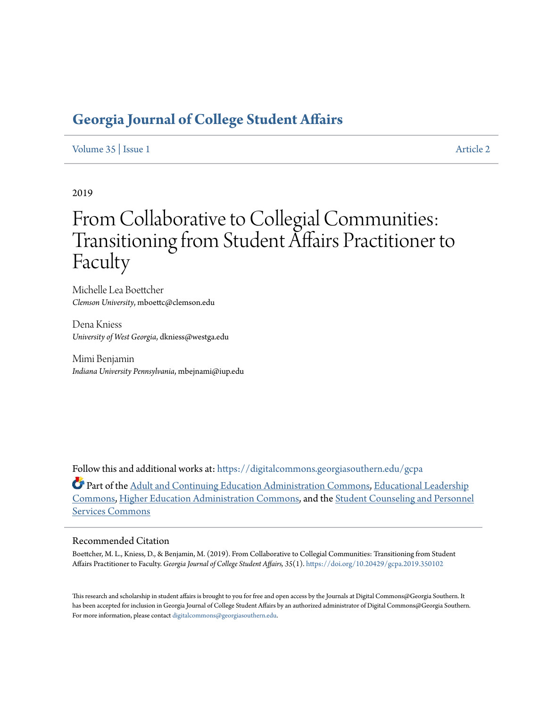# **[Georgia Journal of College Student Affairs](https://digitalcommons.georgiasouthern.edu/gcpa?utm_source=digitalcommons.georgiasouthern.edu%2Fgcpa%2Fvol35%2Fiss1%2F2&utm_medium=PDF&utm_campaign=PDFCoverPages)**

### [Volume 35](https://digitalcommons.georgiasouthern.edu/gcpa/vol35?utm_source=digitalcommons.georgiasouthern.edu%2Fgcpa%2Fvol35%2Fiss1%2F2&utm_medium=PDF&utm_campaign=PDFCoverPages) | [Issue 1](https://digitalcommons.georgiasouthern.edu/gcpa/vol35/iss1?utm_source=digitalcommons.georgiasouthern.edu%2Fgcpa%2Fvol35%2Fiss1%2F2&utm_medium=PDF&utm_campaign=PDFCoverPages) [Article 2](https://digitalcommons.georgiasouthern.edu/gcpa/vol35/iss1/2?utm_source=digitalcommons.georgiasouthern.edu%2Fgcpa%2Fvol35%2Fiss1%2F2&utm_medium=PDF&utm_campaign=PDFCoverPages)

2019

# From Collaborative to Collegial Communities: Transitioning from Student Affairs Practitioner to Faculty

Michelle Lea Boettcher *Clemson University*, mboettc@clemson.edu

Dena Kniess *University of West Georgia*, dkniess@westga.edu

Mimi Benjamin *Indiana University Pennsylvania*, mbejnami@iup.edu

Follow this and additional works at: [https://digitalcommons.georgiasouthern.edu/gcpa](https://digitalcommons.georgiasouthern.edu/gcpa?utm_source=digitalcommons.georgiasouthern.edu%2Fgcpa%2Fvol35%2Fiss1%2F2&utm_medium=PDF&utm_campaign=PDFCoverPages)

Part of the [Adult and Continuing Education Administration Commons](http://network.bepress.com/hgg/discipline/789?utm_source=digitalcommons.georgiasouthern.edu%2Fgcpa%2Fvol35%2Fiss1%2F2&utm_medium=PDF&utm_campaign=PDFCoverPages), [Educational Leadership](http://network.bepress.com/hgg/discipline/1230?utm_source=digitalcommons.georgiasouthern.edu%2Fgcpa%2Fvol35%2Fiss1%2F2&utm_medium=PDF&utm_campaign=PDFCoverPages) [Commons,](http://network.bepress.com/hgg/discipline/1230?utm_source=digitalcommons.georgiasouthern.edu%2Fgcpa%2Fvol35%2Fiss1%2F2&utm_medium=PDF&utm_campaign=PDFCoverPages) [Higher Education Administration Commons,](http://network.bepress.com/hgg/discipline/791?utm_source=digitalcommons.georgiasouthern.edu%2Fgcpa%2Fvol35%2Fiss1%2F2&utm_medium=PDF&utm_campaign=PDFCoverPages) and the [Student Counseling and Personnel](http://network.bepress.com/hgg/discipline/802?utm_source=digitalcommons.georgiasouthern.edu%2Fgcpa%2Fvol35%2Fiss1%2F2&utm_medium=PDF&utm_campaign=PDFCoverPages) [Services Commons](http://network.bepress.com/hgg/discipline/802?utm_source=digitalcommons.georgiasouthern.edu%2Fgcpa%2Fvol35%2Fiss1%2F2&utm_medium=PDF&utm_campaign=PDFCoverPages)

#### Recommended Citation

Boettcher, M. L., Kniess, D., & Benjamin, M. (2019). From Collaborative to Collegial Communities: Transitioning from Student Affairs Practitioner to Faculty. *Georgia Journal of College Student Affairs, 35*(1). <https://doi.org/10.20429/gcpa.2019.350102>

This research and scholarship in student affairs is brought to you for free and open access by the Journals at Digital Commons@Georgia Southern. It has been accepted for inclusion in Georgia Journal of College Student Affairs by an authorized administrator of Digital Commons@Georgia Southern. For more information, please contact [digitalcommons@georgiasouthern.edu.](mailto:digitalcommons@georgiasouthern.edu)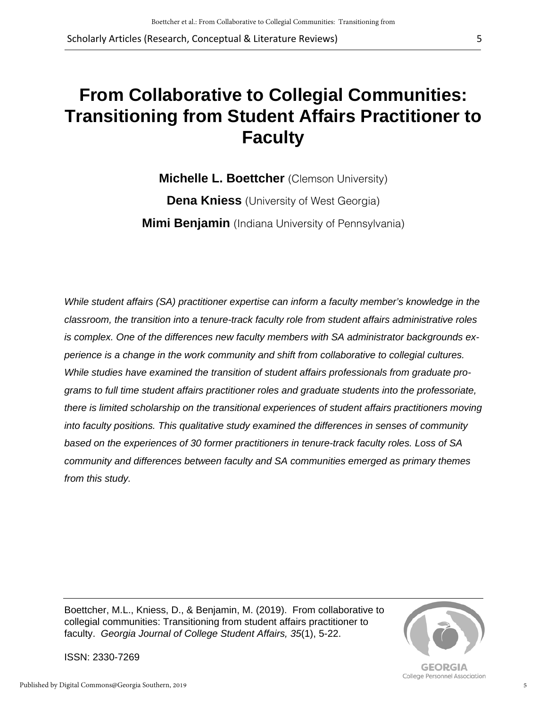Scholarly Articles (Research, Conceptual & Literature Reviews)

# **From Collaborative to Collegial Communities: Transitioning from Student Affairs Practitioner to Faculty**

**Michelle L. Boettcher** (Clemson University) **Dena Kniess** (University of West Georgia) **Mimi Benjamin** (Indiana University of Pennsylvania)

*While student affairs (SA) practitioner expertise can inform a faculty member's knowledge in the classroom, the transition into a tenure-track faculty role from student affairs administrative roles is complex. One of the differences new faculty members with SA administrator backgrounds experience is a change in the work community and shift from collaborative to collegial cultures. While studies have examined the transition of student affairs professionals from graduate programs to full time student affairs practitioner roles and graduate students into the professoriate, there is limited scholarship on the transitional experiences of student affairs practitioners moving into faculty positions. This qualitative study examined the differences in senses of community based on the experiences of 30 former practitioners in tenure-track faculty roles. Loss of SA community and differences between faculty and SA communities emerged as primary themes from this study.* 

Boettcher, M.L., Kniess, D., & Benjamin, M. (2019). From collaborative to collegial communities: Transitioning from student affairs practitioner to faculty. *Georgia Journal of College Student Affairs, 35*(1), 5-22.



**GEORGIA** College Personnel Association

ISSN: 2330-7269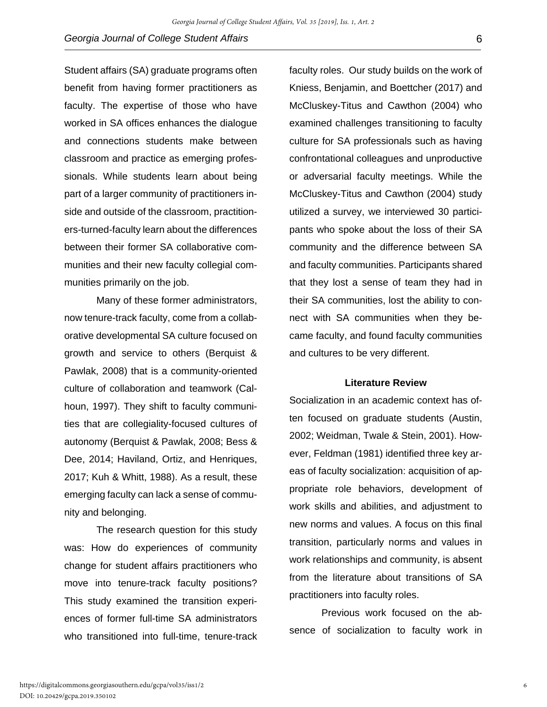Student affairs (SA) graduate programs often benefit from having former practitioners as faculty. The expertise of those who have worked in SA offices enhances the dialogue and connections students make between classroom and practice as emerging professionals. While students learn about being part of a larger community of practitioners inside and outside of the classroom, practitioners-turned-faculty learn about the differences between their former SA collaborative communities and their new faculty collegial communities primarily on the job.

Many of these former administrators, now tenure-track faculty, come from a collaborative developmental SA culture focused on growth and service to others (Berquist & Pawlak, 2008) that is a community-oriented culture of collaboration and teamwork (Calhoun, 1997). They shift to faculty communities that are collegiality-focused cultures of autonomy (Berquist & Pawlak, 2008; Bess & Dee, 2014; Haviland, Ortiz, and Henriques, 2017; Kuh & Whitt, 1988). As a result, these emerging faculty can lack a sense of community and belonging.

The research question for this study was: How do experiences of community change for student affairs practitioners who move into tenure-track faculty positions? This study examined the transition experiences of former full-time SA administrators who transitioned into full-time, tenure-track

faculty roles. Our study builds on the work of Kniess, Benjamin, and Boettcher (2017) and McCluskey-Titus and Cawthon (2004) who examined challenges transitioning to faculty culture for SA professionals such as having confrontational colleagues and unproductive or adversarial faculty meetings. While the McCluskey-Titus and Cawthon (2004) study utilized a survey, we interviewed 30 participants who spoke about the loss of their SA community and the difference between SA and faculty communities. Participants shared that they lost a sense of team they had in their SA communities, lost the ability to connect with SA communities when they became faculty, and found faculty communities and cultures to be very different.

#### **Literature Review**

Socialization in an academic context has often focused on graduate students (Austin, 2002; Weidman, Twale & Stein, 2001). However, Feldman (1981) identified three key areas of faculty socialization: acquisition of appropriate role behaviors, development of work skills and abilities, and adjustment to new norms and values. A focus on this final transition, particularly norms and values in work relationships and community, is absent from the literature about transitions of SA practitioners into faculty roles.

Previous work focused on the absence of socialization to faculty work in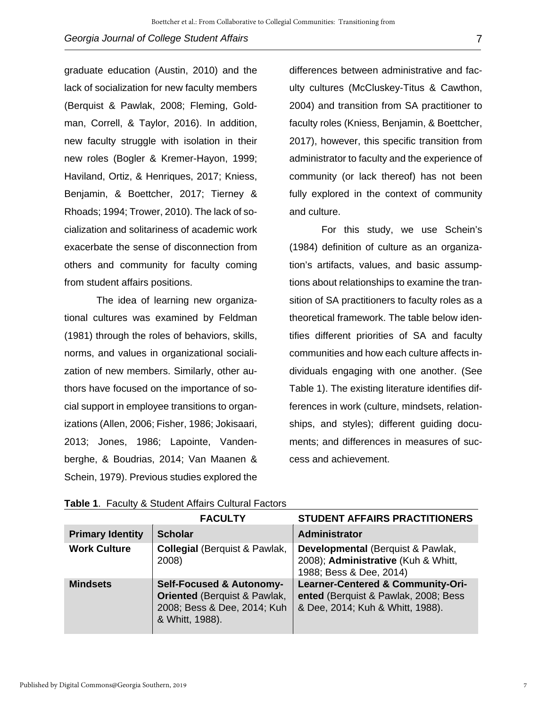graduate education (Austin, 2010) and the lack of socialization for new faculty members (Berquist & Pawlak, 2008; Fleming, Goldman, Correll, & Taylor, 2016). In addition, new faculty struggle with isolation in their new roles (Bogler & Kremer-Hayon, 1999; Haviland, Ortiz, & Henriques, 2017; Kniess, Benjamin, & Boettcher, 2017; Tierney & Rhoads; 1994; Trower, 2010). The lack of socialization and solitariness of academic work exacerbate the sense of disconnection from others and community for faculty coming from student affairs positions.

The idea of learning new organizational cultures was examined by Feldman (1981) through the roles of behaviors, skills, norms, and values in organizational socialization of new members. Similarly, other authors have focused on the importance of social support in employee transitions to organizations (Allen, 2006; Fisher, 1986; Jokisaari, 2013; Jones, 1986; Lapointe, Vandenberghe, & Boudrias, 2014; Van Maanen & Schein, 1979). Previous studies explored the

differences between administrative and faculty cultures (McCluskey-Titus & Cawthon, 2004) and transition from SA practitioner to faculty roles (Kniess, Benjamin, & Boettcher, 2017), however, this specific transition from administrator to faculty and the experience of community (or lack thereof) has not been fully explored in the context of community and culture.

For this study, we use Schein's (1984) definition of culture as an organization's artifacts, values, and basic assumptions about relationships to examine the transition of SA practitioners to faculty roles as a theoretical framework. The table below identifies different priorities of SA and faculty communities and how each culture affects individuals engaging with one another. (See Table 1). The existing literature identifies differences in work (culture, mindsets, relationships, and styles); different guiding documents; and differences in measures of success and achievement.

|                         | <b>FACULTY</b>                                                                                                                   | <b>STUDENT AFFAIRS PRACTITIONERS</b>                                                                                     |
|-------------------------|----------------------------------------------------------------------------------------------------------------------------------|--------------------------------------------------------------------------------------------------------------------------|
| <b>Primary Identity</b> | <b>Scholar</b>                                                                                                                   | Administrator                                                                                                            |
| <b>Work Culture</b>     | <b>Collegial (Berquist &amp; Pawlak,</b><br>2008)                                                                                | Developmental (Berquist & Pawlak,<br>2008); Administrative (Kuh & Whitt,<br>1988; Bess & Dee, 2014)                      |
| <b>Mindsets</b>         | <b>Self-Focused &amp; Autonomy-</b><br><b>Oriented (Berquist &amp; Pawlak,</b><br>2008; Bess & Dee, 2014; Kuh<br>& Whitt, 1988). | <b>Learner-Centered &amp; Community-Ori-</b><br>ented (Berquist & Pawlak, 2008; Bess<br>& Dee, 2014; Kuh & Whitt, 1988). |

**Table 1**. Faculty & Student Affairs Cultural Factors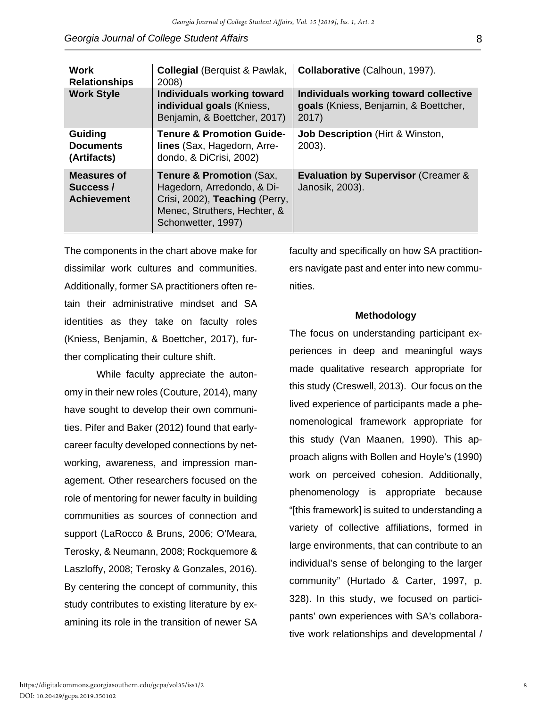| <b>Work</b><br><b>Relationships</b>            | <b>Collegial (Berquist &amp; Pawlak,</b><br>2008)                                                                                                         | Collaborative (Calhoun, 1997).                                                          |  |  |
|------------------------------------------------|-----------------------------------------------------------------------------------------------------------------------------------------------------------|-----------------------------------------------------------------------------------------|--|--|
| <b>Work Style</b>                              | Individuals working toward<br>individual goals (Kniess,<br>Benjamin, & Boettcher, 2017)                                                                   | Individuals working toward collective<br>goals (Kniess, Benjamin, & Boettcher,<br>2017) |  |  |
| Guiding<br><b>Documents</b><br>(Artifacts)     | <b>Tenure &amp; Promotion Guide-</b><br>lines (Sax, Hagedorn, Arre-<br>dondo, & DiCrisi, 2002)                                                            | <b>Job Description (Hirt &amp; Winston,</b><br>$2003$ ).                                |  |  |
| Measures of<br>Success /<br><b>Achievement</b> | <b>Tenure &amp; Promotion (Sax,</b><br>Hagedorn, Arredondo, & Di-<br>Crisi, 2002), Teaching (Perry,<br>Menec, Struthers, Hechter, &<br>Schonwetter, 1997) | <b>Evaluation by Supervisor (Creamer &amp;</b><br>Janosik, 2003).                       |  |  |

The components in the chart above make for dissimilar work cultures and communities. Additionally, former SA practitioners often retain their administrative mindset and SA identities as they take on faculty roles (Kniess, Benjamin, & Boettcher, 2017), further complicating their culture shift.

While faculty appreciate the autonomy in their new roles (Couture, 2014), many have sought to develop their own communities. Pifer and Baker (2012) found that earlycareer faculty developed connections by networking, awareness, and impression management. Other researchers focused on the role of mentoring for newer faculty in building communities as sources of connection and support (LaRocco & Bruns, 2006; O'Meara, Terosky, & Neumann, 2008; Rockquemore & Laszloffy, 2008; Terosky & Gonzales, 2016). By centering the concept of community, this study contributes to existing literature by examining its role in the transition of newer SA

faculty and specifically on how SA practitioners navigate past and enter into new communities.

#### **Methodology**

The focus on understanding participant experiences in deep and meaningful ways made qualitative research appropriate for this study (Creswell, 2013). Our focus on the lived experience of participants made a phenomenological framework appropriate for this study (Van Maanen, 1990). This approach aligns with Bollen and Hoyle's (1990) work on perceived cohesion. Additionally, phenomenology is appropriate because "[this framework] is suited to understanding a variety of collective affiliations, formed in large environments, that can contribute to an individual's sense of belonging to the larger community" (Hurtado & Carter, 1997, p. 328). In this study, we focused on participants' own experiences with SA's collaborative work relationships and developmental /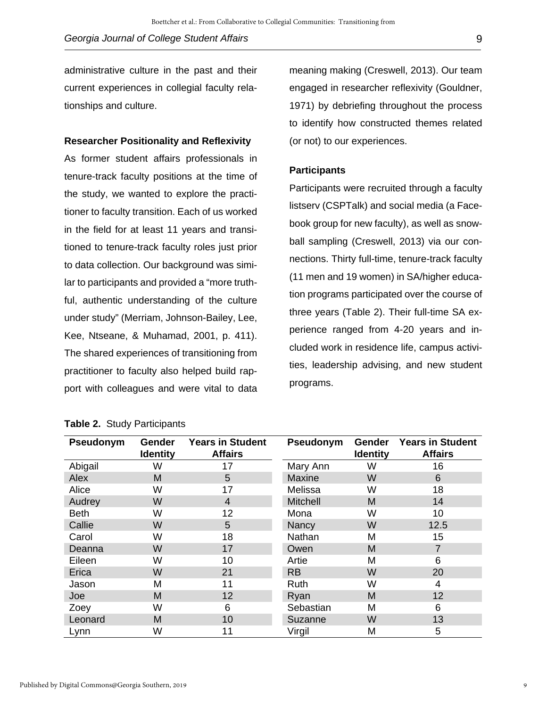administrative culture in the past and their current experiences in collegial faculty relationships and culture.

## **Researcher Positionality and Reflexivity**

As former student affairs professionals in tenure-track faculty positions at the time of the study, we wanted to explore the practitioner to faculty transition. Each of us worked in the field for at least 11 years and transitioned to tenure-track faculty roles just prior to data collection. Our background was similar to participants and provided a "more truthful, authentic understanding of the culture under study" (Merriam, Johnson-Bailey, Lee, Kee, Ntseane, & Muhamad, 2001, p. 411). The shared experiences of transitioning from practitioner to faculty also helped build rapport with colleagues and were vital to data

meaning making (Creswell, 2013). Our team engaged in researcher reflexivity (Gouldner, 1971) by debriefing throughout the process to identify how constructed themes related (or not) to our experiences.

## **Participants**

Participants were recruited through a faculty listserv (CSPTalk) and social media (a Facebook group for new faculty), as well as snowball sampling (Creswell, 2013) via our connections. Thirty full-time, tenure-track faculty (11 men and 19 women) in SA/higher education programs participated over the course of three years (Table 2). Their full-time SA experience ranged from 4-20 years and included work in residence life, campus activities, leadership advising, and new student programs.

| Pseudonym   | <b>Gender</b><br><b>Identity</b> | <b>Years in Student</b><br><b>Affairs</b> | Pseudonym       | <b>Gender</b><br><b>Identity</b> | <b>Years in Student</b><br><b>Affairs</b> |
|-------------|----------------------------------|-------------------------------------------|-----------------|----------------------------------|-------------------------------------------|
| Abigail     | W                                | 17                                        | Mary Ann        | W                                | 16                                        |
| Alex        | M                                | 5                                         | Maxine          | W                                | 6                                         |
| Alice       | W                                | 17                                        | Melissa         | W                                | 18                                        |
| Audrey      | W                                | 4                                         | <b>Mitchell</b> | M                                | 14                                        |
| <b>Beth</b> | W                                | 12                                        | Mona            | W                                | 10                                        |
| Callie      | W                                | 5                                         | Nancy           | W                                | 12.5                                      |
| Carol       | W                                | 18                                        | Nathan          | M                                | 15                                        |
| Deanna      | W                                | 17                                        | Owen            | M                                | 7                                         |
| Eileen      | W                                | 10                                        | Artie           | M                                | 6                                         |
| Erica       | W                                | 21                                        | <b>RB</b>       | W                                | 20                                        |
| Jason       | M                                | 11                                        | Ruth            | W                                | 4                                         |
| Joe         | M                                | 12                                        | Ryan            | M                                | 12                                        |
| Zoey        | W                                | 6                                         | Sebastian       | M                                | 6                                         |
| Leonard     | M                                | 10                                        | Suzanne         | W                                | 13                                        |
| Lynn        | W                                | 11                                        | Virgil          | M                                | 5                                         |

## **Table 2.** Study Participants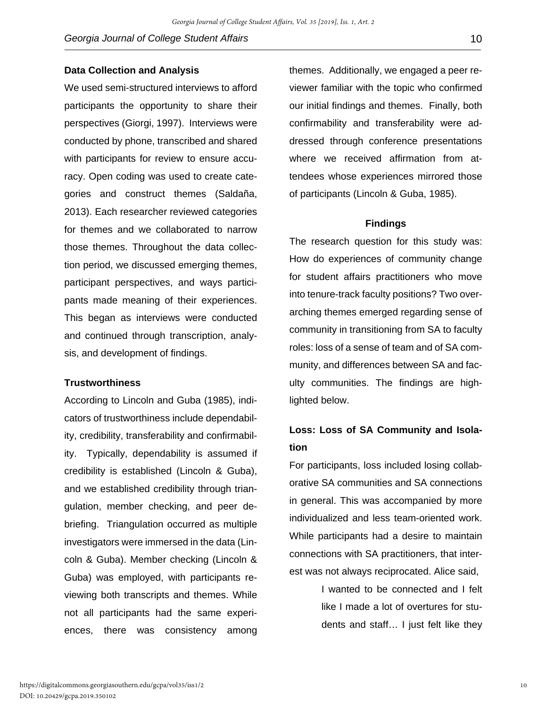#### **Data Collection and Analysis**

We used semi-structured interviews to afford participants the opportunity to share their perspectives (Giorgi, 1997). Interviews were conducted by phone, transcribed and shared with participants for review to ensure accuracy. Open coding was used to create categories and construct themes (Saldaña, 2013). Each researcher reviewed categories for themes and we collaborated to narrow those themes. Throughout the data collection period, we discussed emerging themes, participant perspectives, and ways participants made meaning of their experiences. This began as interviews were conducted and continued through transcription, analysis, and development of findings.

## **Trustworthiness**

According to Lincoln and Guba (1985), indicators of trustworthiness include dependability, credibility, transferability and confirmability. Typically, dependability is assumed if credibility is established (Lincoln & Guba), and we established credibility through triangulation, member checking, and peer debriefing. Triangulation occurred as multiple investigators were immersed in the data (Lincoln & Guba). Member checking (Lincoln & Guba) was employed, with participants reviewing both transcripts and themes. While not all participants had the same experiences, there was consistency among

themes. Additionally, we engaged a peer reviewer familiar with the topic who confirmed our initial findings and themes. Finally, both confirmability and transferability were addressed through conference presentations where we received affirmation from attendees whose experiences mirrored those of participants (Lincoln & Guba, 1985).

#### **Findings**

The research question for this study was: How do experiences of community change for student affairs practitioners who move into tenure-track faculty positions? Two overarching themes emerged regarding sense of community in transitioning from SA to faculty roles: loss of a sense of team and of SA community, and differences between SA and faculty communities. The findings are highlighted below.

# **Loss: Loss of SA Community and Isolation**

For participants, loss included losing collaborative SA communities and SA connections in general. This was accompanied by more individualized and less team-oriented work. While participants had a desire to maintain connections with SA practitioners, that interest was not always reciprocated. Alice said,

> I wanted to be connected and I felt like I made a lot of overtures for students and staff… I just felt like they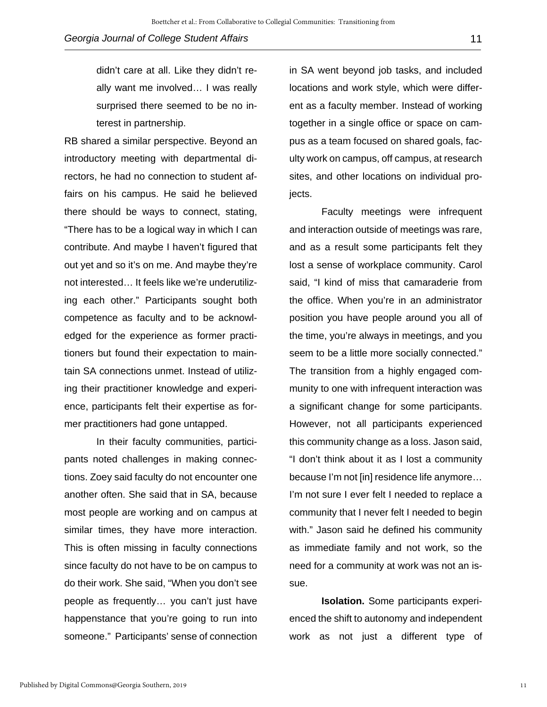didn't care at all. Like they didn't really want me involved… I was really surprised there seemed to be no interest in partnership.

RB shared a similar perspective. Beyond an introductory meeting with departmental directors, he had no connection to student affairs on his campus. He said he believed there should be ways to connect, stating, "There has to be a logical way in which I can contribute. And maybe I haven't figured that out yet and so it's on me. And maybe they're not interested… It feels like we're underutilizing each other." Participants sought both competence as faculty and to be acknowledged for the experience as former practitioners but found their expectation to maintain SA connections unmet. Instead of utilizing their practitioner knowledge and experience, participants felt their expertise as former practitioners had gone untapped.

 In their faculty communities, participants noted challenges in making connections. Zoey said faculty do not encounter one another often. She said that in SA, because most people are working and on campus at similar times, they have more interaction. This is often missing in faculty connections since faculty do not have to be on campus to do their work. She said, "When you don't see people as frequently… you can't just have happenstance that you're going to run into someone." Participants' sense of connection

in SA went beyond job tasks, and included locations and work style, which were different as a faculty member. Instead of working together in a single office or space on campus as a team focused on shared goals, faculty work on campus, off campus, at research sites, and other locations on individual projects.

Faculty meetings were infrequent and interaction outside of meetings was rare, and as a result some participants felt they lost a sense of workplace community. Carol said, "I kind of miss that camaraderie from the office. When you're in an administrator position you have people around you all of the time, you're always in meetings, and you seem to be a little more socially connected." The transition from a highly engaged community to one with infrequent interaction was a significant change for some participants. However, not all participants experienced this community change as a loss. Jason said, "I don't think about it as I lost a community because I'm not [in] residence life anymore… I'm not sure I ever felt I needed to replace a community that I never felt I needed to begin with." Jason said he defined his community as immediate family and not work, so the need for a community at work was not an issue.

**Isolation.** Some participants experienced the shift to autonomy and independent work as not just a different type of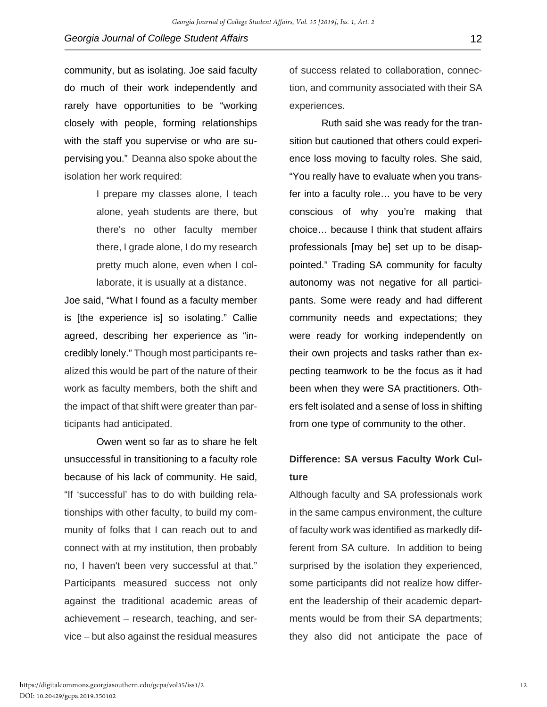community, but as isolating. Joe said faculty do much of their work independently and rarely have opportunities to be "working closely with people, forming relationships with the staff you supervise or who are supervising you." Deanna also spoke about the isolation her work required:

> I prepare my classes alone, I teach alone, yeah students are there, but there's no other faculty member there, I grade alone, I do my research pretty much alone, even when I collaborate, it is usually at a distance.

Joe said, "What I found as a faculty member is [the experience is] so isolating." Callie agreed, describing her experience as "incredibly lonely." Though most participants realized this would be part of the nature of their work as faculty members, both the shift and the impact of that shift were greater than participants had anticipated.

Owen went so far as to share he felt unsuccessful in transitioning to a faculty role because of his lack of community. He said, "If 'successful' has to do with building relationships with other faculty, to build my community of folks that I can reach out to and connect with at my institution, then probably no, I haven't been very successful at that." Participants measured success not only against the traditional academic areas of achievement – research, teaching, and service – but also against the residual measures

of success related to collaboration, connection, and community associated with their SA experiences.

Ruth said she was ready for the transition but cautioned that others could experience loss moving to faculty roles. She said, "You really have to evaluate when you transfer into a faculty role… you have to be very conscious of why you're making that choice… because I think that student affairs professionals [may be] set up to be disappointed." Trading SA community for faculty autonomy was not negative for all participants. Some were ready and had different community needs and expectations; they were ready for working independently on their own projects and tasks rather than expecting teamwork to be the focus as it had been when they were SA practitioners. Others felt isolated and a sense of loss in shifting from one type of community to the other.

# **Difference: SA versus Faculty Work Culture**

Although faculty and SA professionals work in the same campus environment, the culture of faculty work was identified as markedly different from SA culture. In addition to being surprised by the isolation they experienced, some participants did not realize how different the leadership of their academic departments would be from their SA departments; they also did not anticipate the pace of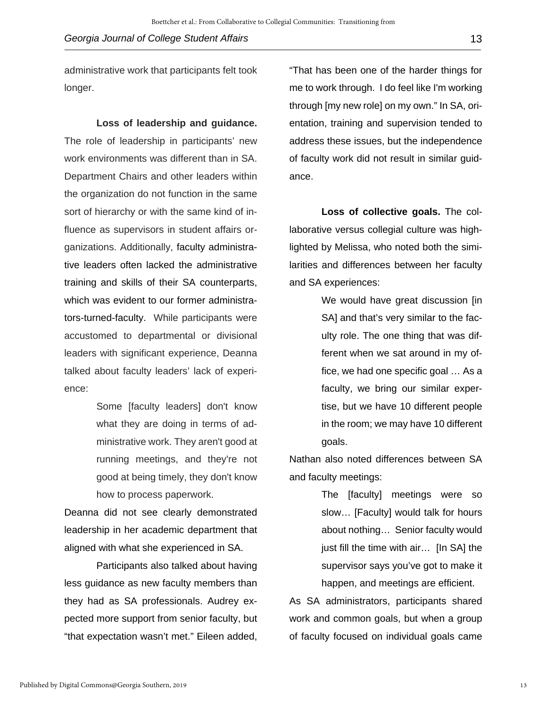administrative work that participants felt took longer.

**Loss of leadership and guidance.** 

The role of leadership in participants' new work environments was different than in SA. Department Chairs and other leaders within the organization do not function in the same sort of hierarchy or with the same kind of influence as supervisors in student affairs organizations. Additionally, faculty administrative leaders often lacked the administrative training and skills of their SA counterparts, which was evident to our former administrators-turned-faculty. While participants were accustomed to departmental or divisional leaders with significant experience, Deanna talked about faculty leaders' lack of experience:

> Some [faculty leaders] don't know what they are doing in terms of administrative work. They aren't good at running meetings, and they're not good at being timely, they don't know how to process paperwork.

Deanna did not see clearly demonstrated leadership in her academic department that aligned with what she experienced in SA.

Participants also talked about having less guidance as new faculty members than they had as SA professionals. Audrey expected more support from senior faculty, but "that expectation wasn't met." Eileen added,

"That has been one of the harder things for me to work through. I do feel like I'm working through [my new role] on my own." In SA, orientation, training and supervision tended to address these issues, but the independence of faculty work did not result in similar guidance.

**Loss of collective goals.** The collaborative versus collegial culture was highlighted by Melissa, who noted both the similarities and differences between her faculty and SA experiences:

> We would have great discussion [in] SA] and that's very similar to the faculty role. The one thing that was different when we sat around in my office, we had one specific goal … As a faculty, we bring our similar expertise, but we have 10 different people in the room; we may have 10 different goals.

Nathan also noted differences between SA and faculty meetings:

> The [faculty] meetings were so slow… [Faculty] would talk for hours about nothing… Senior faculty would just fill the time with air… [In SA] the supervisor says you've got to make it happen, and meetings are efficient.

As SA administrators, participants shared work and common goals, but when a group of faculty focused on individual goals came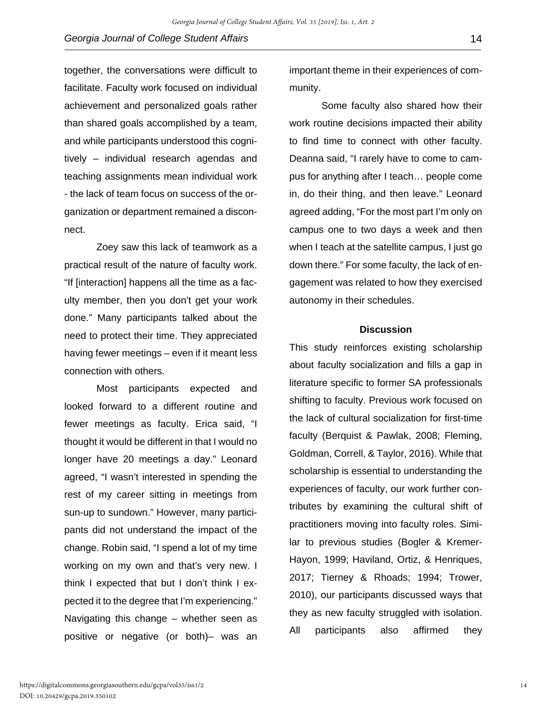together, the conversations were difficult to facilitate. Faculty work focused on individual achievement and personalized goals rather than shared goals accomplished by a team, and while participants understood this cognitively – individual research agendas and teaching assignments mean individual work - the lack of team focus on success of the organization or department remained a disconnect.

Zoey saw this lack of teamwork as a practical result of the nature of faculty work. "If [interaction] happens all the time as a faculty member, then you don't get your work done." Many participants talked about the need to protect their time. They appreciated having fewer meetings – even if it meant less connection with others.

Most participants expected and looked forward to a different routine and fewer meetings as faculty. Erica said, "I thought it would be different in that I would no longer have 20 meetings a day." Leonard agreed, "I wasn't interested in spending the rest of my career sitting in meetings from sun-up to sundown." However, many participants did not understand the impact of the change. Robin said, "I spend a lot of my time working on my own and that's very new. I think I expected that but I don't think I expected it to the degree that I'm experiencing." Navigating this change – whether seen as positive or negative (or both)– was an

important theme in their experiences of community.

Some faculty also shared how their work routine decisions impacted their ability to find time to connect with other faculty. Deanna said, "I rarely have to come to campus for anything after I teach… people come in, do their thing, and then leave." Leonard agreed adding, "For the most part I'm only on campus one to two days a week and then when I teach at the satellite campus, I just go down there." For some faculty, the lack of engagement was related to how they exercised autonomy in their schedules.

#### **Discussion**

This study reinforces existing scholarship about faculty socialization and fills a gap in literature specific to former SA professionals shifting to faculty. Previous work focused on the lack of cultural socialization for first-time faculty (Berquist & Pawlak, 2008; Fleming, Goldman, Correll, & Taylor, 2016). While that scholarship is essential to understanding the experiences of faculty, our work further contributes by examining the cultural shift of practitioners moving into faculty roles. Similar to previous studies (Bogler & Kremer-Hayon, 1999; Haviland, Ortiz, & Henriques, 2017; Tierney & Rhoads; 1994; Trower, 2010), our participants discussed ways that they as new faculty struggled with isolation. All participants also affirmed they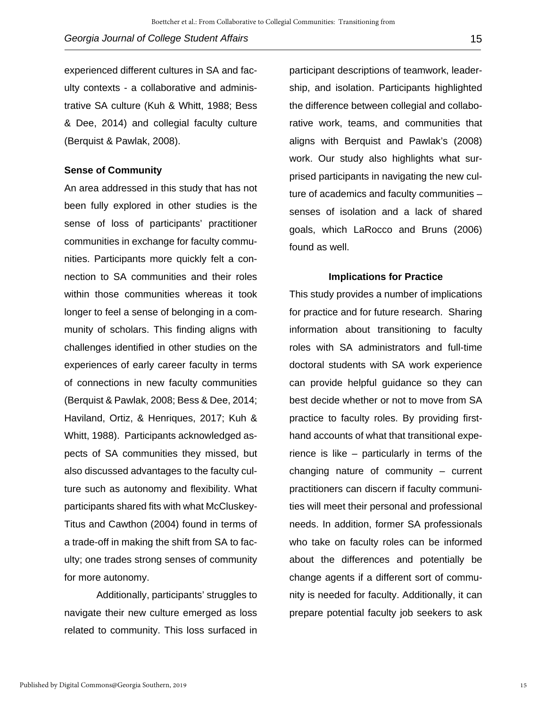experienced different cultures in SA and faculty contexts - a collaborative and administrative SA culture (Kuh & Whitt, 1988; Bess & Dee, 2014) and collegial faculty culture (Berquist & Pawlak, 2008).

#### **Sense of Community**

An area addressed in this study that has not been fully explored in other studies is the sense of loss of participants' practitioner communities in exchange for faculty communities. Participants more quickly felt a connection to SA communities and their roles within those communities whereas it took longer to feel a sense of belonging in a community of scholars. This finding aligns with challenges identified in other studies on the experiences of early career faculty in terms of connections in new faculty communities (Berquist & Pawlak, 2008; Bess & Dee, 2014; Haviland, Ortiz, & Henriques, 2017; Kuh & Whitt, 1988). Participants acknowledged aspects of SA communities they missed, but also discussed advantages to the faculty culture such as autonomy and flexibility. What participants shared fits with what McCluskey-Titus and Cawthon (2004) found in terms of a trade-off in making the shift from SA to faculty; one trades strong senses of community for more autonomy.

 Additionally, participants' struggles to navigate their new culture emerged as loss related to community. This loss surfaced in

participant descriptions of teamwork, leadership, and isolation. Participants highlighted the difference between collegial and collaborative work, teams, and communities that aligns with Berquist and Pawlak's (2008) work. Our study also highlights what surprised participants in navigating the new culture of academics and faculty communities – senses of isolation and a lack of shared goals, which LaRocco and Bruns (2006) found as well.

#### **Implications for Practice**

This study provides a number of implications for practice and for future research. Sharing information about transitioning to faculty roles with SA administrators and full-time doctoral students with SA work experience can provide helpful guidance so they can best decide whether or not to move from SA practice to faculty roles. By providing firsthand accounts of what that transitional experience is like – particularly in terms of the changing nature of community – current practitioners can discern if faculty communities will meet their personal and professional needs. In addition, former SA professionals who take on faculty roles can be informed about the differences and potentially be change agents if a different sort of community is needed for faculty. Additionally, it can prepare potential faculty job seekers to ask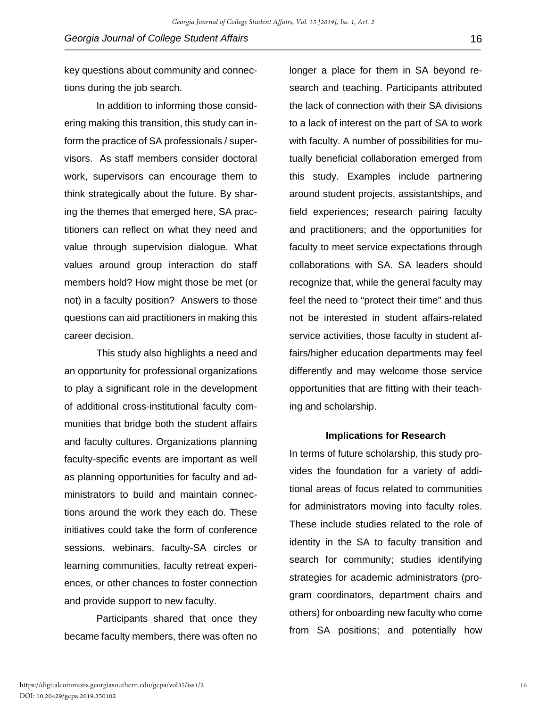key questions about community and connections during the job search.

In addition to informing those considering making this transition, this study can inform the practice of SA professionals / supervisors. As staff members consider doctoral work, supervisors can encourage them to think strategically about the future. By sharing the themes that emerged here, SA practitioners can reflect on what they need and value through supervision dialogue. What values around group interaction do staff members hold? How might those be met (or not) in a faculty position? Answers to those questions can aid practitioners in making this career decision.

This study also highlights a need and an opportunity for professional organizations to play a significant role in the development of additional cross-institutional faculty communities that bridge both the student affairs and faculty cultures. Organizations planning faculty-specific events are important as well as planning opportunities for faculty and administrators to build and maintain connections around the work they each do. These initiatives could take the form of conference sessions, webinars, faculty-SA circles or learning communities, faculty retreat experiences, or other chances to foster connection and provide support to new faculty.

Participants shared that once they became faculty members, there was often no

longer a place for them in SA beyond research and teaching. Participants attributed the lack of connection with their SA divisions to a lack of interest on the part of SA to work with faculty. A number of possibilities for mutually beneficial collaboration emerged from this study. Examples include partnering around student projects, assistantships, and field experiences; research pairing faculty and practitioners; and the opportunities for faculty to meet service expectations through collaborations with SA. SA leaders should recognize that, while the general faculty may feel the need to "protect their time" and thus not be interested in student affairs-related service activities, those faculty in student affairs/higher education departments may feel differently and may welcome those service opportunities that are fitting with their teaching and scholarship.

#### **Implications for Research**

In terms of future scholarship, this study provides the foundation for a variety of additional areas of focus related to communities for administrators moving into faculty roles. These include studies related to the role of identity in the SA to faculty transition and search for community; studies identifying strategies for academic administrators (program coordinators, department chairs and others) for onboarding new faculty who come from SA positions; and potentially how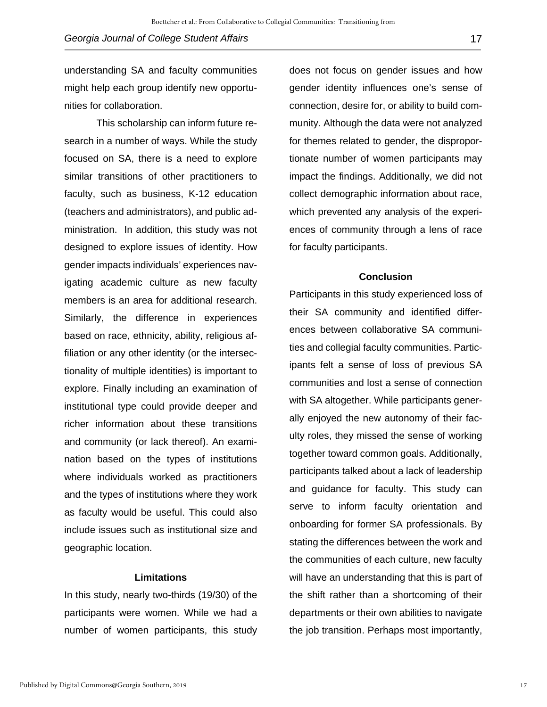understanding SA and faculty communities might help each group identify new opportunities for collaboration.

This scholarship can inform future research in a number of ways. While the study focused on SA, there is a need to explore similar transitions of other practitioners to faculty, such as business, K-12 education (teachers and administrators), and public administration. In addition, this study was not designed to explore issues of identity. How gender impacts individuals' experiences navigating academic culture as new faculty members is an area for additional research. Similarly, the difference in experiences based on race, ethnicity, ability, religious affiliation or any other identity (or the intersectionality of multiple identities) is important to explore. Finally including an examination of institutional type could provide deeper and richer information about these transitions and community (or lack thereof). An examination based on the types of institutions where individuals worked as practitioners and the types of institutions where they work as faculty would be useful. This could also include issues such as institutional size and geographic location.

#### **Limitations**

In this study, nearly two-thirds (19/30) of the participants were women. While we had a number of women participants, this study

does not focus on gender issues and how gender identity influences one's sense of connection, desire for, or ability to build community. Although the data were not analyzed for themes related to gender, the disproportionate number of women participants may impact the findings. Additionally, we did not collect demographic information about race, which prevented any analysis of the experiences of community through a lens of race for faculty participants.

#### **Conclusion**

Participants in this study experienced loss of their SA community and identified differences between collaborative SA communities and collegial faculty communities. Participants felt a sense of loss of previous SA communities and lost a sense of connection with SA altogether. While participants generally enjoyed the new autonomy of their faculty roles, they missed the sense of working together toward common goals. Additionally, participants talked about a lack of leadership and guidance for faculty. This study can serve to inform faculty orientation and onboarding for former SA professionals. By stating the differences between the work and the communities of each culture, new faculty will have an understanding that this is part of the shift rather than a shortcoming of their departments or their own abilities to navigate the job transition. Perhaps most importantly,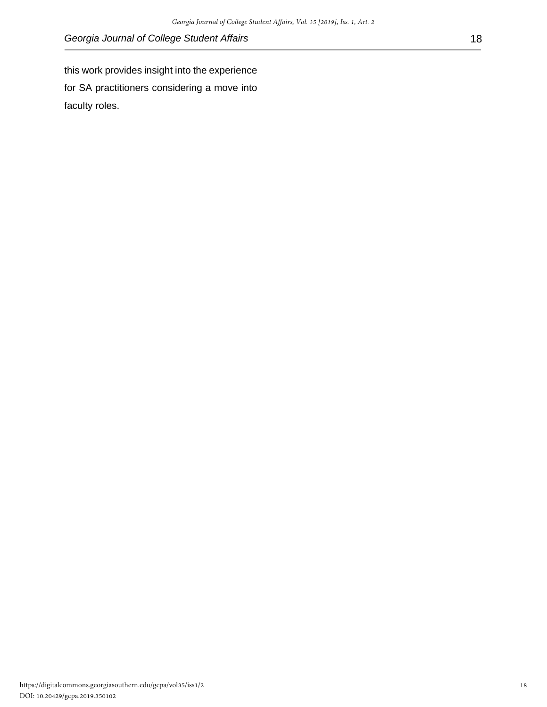this work provides insight into the experience for SA practitioners considering a move into faculty roles.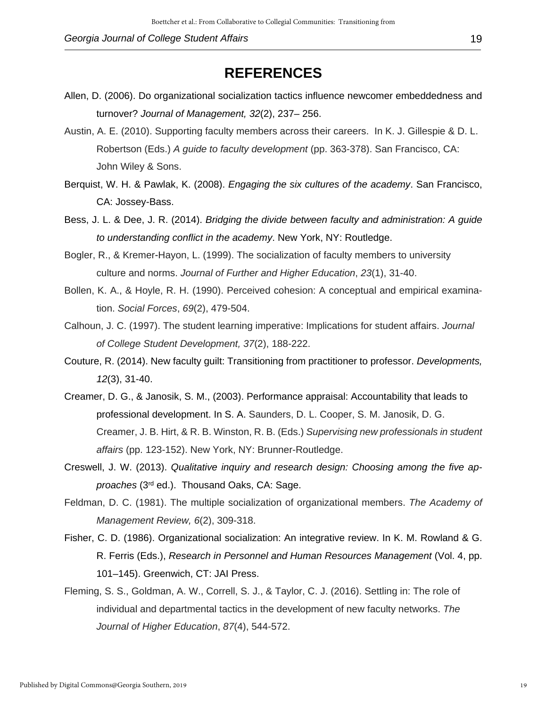## **REFERENCES**

- Allen, D. (2006). Do organizational socialization tactics influence newcomer embeddedness and turnover? *Journal of Management, 32*(2), 237– 256.
- Austin, A. E. (2010). Supporting faculty members across their careers. In K. J. Gillespie & D. L. Robertson (Eds.) *A guide to faculty development* (pp. 363-378). San Francisco, CA: John Wiley & Sons.
- Berquist, W. H. & Pawlak, K. (2008). *Engaging the six cultures of the academy*. San Francisco, CA: Jossey-Bass.
- Bess, J. L. & Dee, J. R. (2014). *Bridging the divide between faculty and administration: A guide to understanding conflict in the academy*. New York, NY: Routledge.
- Bogler, R., & Kremer‐Hayon, L. (1999). The socialization of faculty members to university culture and norms. *Journal of Further and Higher Education*, *23*(1), 31-40.
- Bollen, K. A., & Hoyle, R. H. (1990). Perceived cohesion: A conceptual and empirical examination. *Social Forces*, *69*(2), 479-504.
- Calhoun, J. C. (1997). The student learning imperative: Implications for student affairs. *Journal of College Student Development, 37*(2), 188-222.
- Couture, R. (2014). New faculty guilt: Transitioning from practitioner to professor. *Developments, 12*(3), 31-40.
- Creamer, D. G., & Janosik, S. M., (2003). Performance appraisal: Accountability that leads to professional development. In S. A. Saunders, D. L. Cooper, S. M. Janosik, D. G. Creamer, J. B. Hirt, & R. B. Winston, R. B. (Eds.) *Supervising new professionals in student affairs* (pp. 123-152). New York, NY: Brunner-Routledge.
- Creswell, J. W. (2013). *Qualitative inquiry and research design: Choosing among the five approaches* (3rd ed.). Thousand Oaks, CA: Sage.
- Feldman, D. C. (1981). The multiple socialization of organizational members. *The Academy of Management Review, 6*(2), 309-318.
- Fisher, C. D. (1986). Organizational socialization: An integrative review. In K. M. Rowland & G. R. Ferris (Eds.), *Research in Personnel and Human Resources Management* (Vol. 4, pp. 101–145). Greenwich, CT: JAI Press.
- Fleming, S. S., Goldman, A. W., Correll, S. J., & Taylor, C. J. (2016). Settling in: The role of individual and departmental tactics in the development of new faculty networks. *The Journal of Higher Education*, *87*(4), 544-572.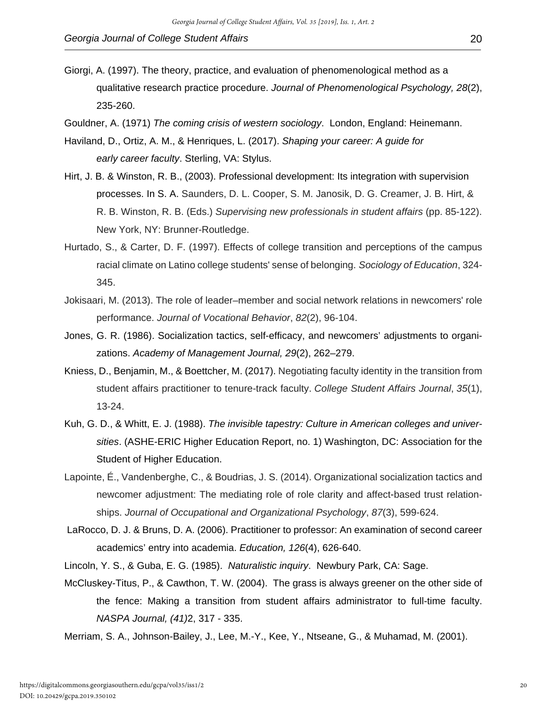- Giorgi, A. (1997). The theory, practice, and evaluation of phenomenological method as a qualitative research practice procedure. *Journal of Phenomenological Psychology, 28*(2), 235-260.
- Gouldner, A. (1971) *The coming crisis of western sociology*. London, England: Heinemann.
- Haviland, D., Ortiz, A. M., & Henriques, L. (2017). *Shaping your career: A guide for early career faculty*. Sterling, VA: Stylus.
- Hirt, J. B. & Winston, R. B., (2003). Professional development: Its integration with supervision processes. In S. A. Saunders, D. L. Cooper, S. M. Janosik, D. G. Creamer, J. B. Hirt, & R. B. Winston, R. B. (Eds.) *Supervising new professionals in student affairs* (pp. 85-122). New York, NY: Brunner-Routledge.
- Hurtado, S., & Carter, D. F. (1997). Effects of college transition and perceptions of the campus racial climate on Latino college students' sense of belonging. *Sociology of Education*, 324- 345.
- Jokisaari, M. (2013). The role of leader–member and social network relations in newcomers' role performance. *Journal of Vocational Behavior*, *82*(2), 96-104.
- Jones, G. R. (1986). Socialization tactics, self-efficacy, and newcomers' adjustments to organizations. *Academy of Management Journal, 29*(2), 262–279.
- Kniess, D., Benjamin, M., & Boettcher, M. (2017). Negotiating faculty identity in the transition from student affairs practitioner to tenure-track faculty. *College Student Affairs Journal*, *35*(1), 13-24.
- Kuh, G. D., & Whitt, E. J. (1988). *The invisible tapestry: Culture in American colleges and universities*. (ASHE-ERIC Higher Education Report, no. 1) Washington, DC: Association for the Student of Higher Education.
- Lapointe, É., Vandenberghe, C., & Boudrias, J. S. (2014). Organizational socialization tactics and newcomer adjustment: The mediating role of role clarity and affect-based trust relationships. *Journal of Occupational and Organizational Psychology*, *87*(3), 599-624.
- LaRocco, D. J. & Bruns, D. A. (2006). Practitioner to professor: An examination of second career academics' entry into academia. *Education, 126*(4), 626-640.
- Lincoln, Y. S., & Guba, E. G. (1985). *Naturalistic inquiry*. Newbury Park, CA: Sage.
- McCluskey-Titus, P., & Cawthon, T. W. (2004). The grass is always greener on the other side of the fence: Making a transition from student affairs administrator to full-time faculty. *NASPA Journal, (41)*2, 317 - 335.
- Merriam, S. A., Johnson-Bailey, J., Lee, M.-Y., Kee, Y., Ntseane, G., & Muhamad, M. (2001).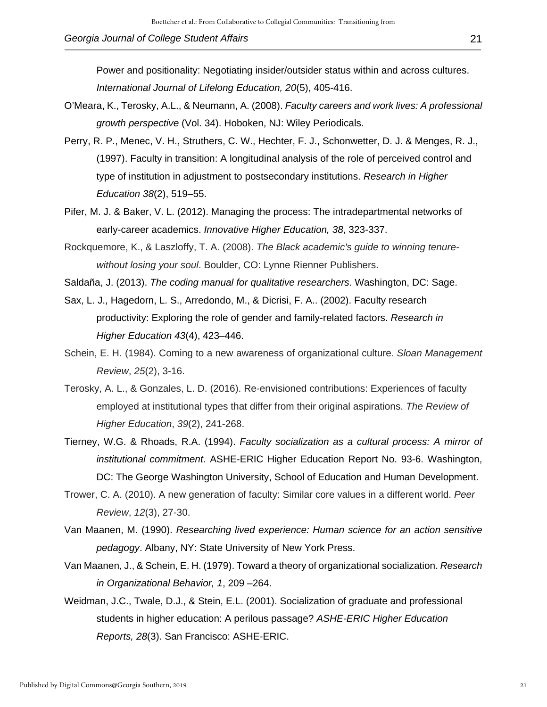- O'Meara, K., Terosky, A.L., & Neumann, A. (2008). *Faculty careers and work lives: A professional growth perspective* (Vol. 34). Hoboken, NJ: Wiley Periodicals.
- Perry, R. P., Menec, V. H., Struthers, C. W., Hechter, F. J., Schonwetter, D. J. & Menges, R. J., (1997). Faculty in transition: A longitudinal analysis of the role of perceived control and type of institution in adjustment to postsecondary institutions. *Research in Higher Education 38*(2), 519–55.
- Pifer, M. J. & Baker, V. L. (2012). Managing the process: The intradepartmental networks of early-career academics. *Innovative Higher Education, 38*, 323-337.
- Rockquemore, K., & Laszloffy, T. A. (2008). *The Black academic's guide to winning tenurewithout losing your soul*. Boulder, CO: Lynne Rienner Publishers.
- Saldaña, J. (2013). *The coding manual for qualitative researchers*. Washington, DC: Sage.
- Sax, L. J., Hagedorn, L. S., Arredondo, M., & Dicrisi, F. A.. (2002). Faculty research productivity: Exploring the role of gender and family-related factors. *Research in Higher Education 43*(4), 423–446.
- Schein, E. H. (1984). Coming to a new awareness of organizational culture. *Sloan Management Review*, *25*(2), 3-16.
- Terosky, A. L., & Gonzales, L. D. (2016). Re-envisioned contributions: Experiences of faculty employed at institutional types that differ from their original aspirations. *The Review of Higher Education*, *39*(2), 241-268.
- Tierney, W.G. & Rhoads, R.A. (1994). *Faculty socialization as a cultural process: A mirror of institutional commitment*. ASHE-ERIC Higher Education Report No. 93-6. Washington, DC: The George Washington University, School of Education and Human Development.
- Trower, C. A. (2010). A new generation of faculty: Similar core values in a different world. *Peer Review*, *12*(3), 27-30.
- Van Maanen, M. (1990). *Researching lived experience: Human science for an action sensitive pedagogy*. Albany, NY: State University of New York Press.
- Van Maanen, J., & Schein, E. H. (1979). Toward a theory of organizational socialization. *Research in Organizational Behavior, 1*, 209 –264.
- Weidman, J.C., Twale, D.J., & Stein, E.L. (2001). Socialization of graduate and professional students in higher education: A perilous passage? *ASHE-ERIC Higher Education Reports, 28*(3). San Francisco: ASHE-ERIC.